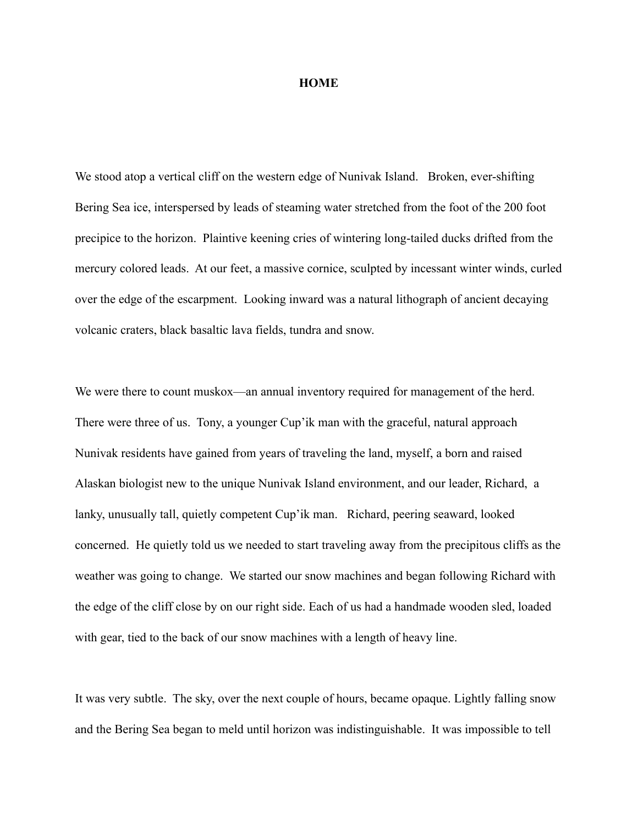## **HOME**

We stood atop a vertical cliff on the western edge of Nunivak Island. Broken, ever-shifting Bering Sea ice, interspersed by leads of steaming water stretched from the foot of the 200 foot precipice to the horizon. Plaintive keening cries of wintering long-tailed ducks drifted from the mercury colored leads. At our feet, a massive cornice, sculpted by incessant winter winds, curled over the edge of the escarpment. Looking inward was a natural lithograph of ancient decaying volcanic craters, black basaltic lava fields, tundra and snow.

We were there to count muskox—an annual inventory required for management of the herd. There were three of us. Tony, a younger Cup'ik man with the graceful, natural approach Nunivak residents have gained from years of traveling the land, myself, a born and raised Alaskan biologist new to the unique Nunivak Island environment, and our leader, Richard, a lanky, unusually tall, quietly competent Cup'ik man. Richard, peering seaward, looked concerned. He quietly told us we needed to start traveling away from the precipitous cliffs as the weather was going to change. We started our snow machines and began following Richard with the edge of the cliff close by on our right side. Each of us had a handmade wooden sled, loaded with gear, tied to the back of our snow machines with a length of heavy line.

It was very subtle. The sky, over the next couple of hours, became opaque. Lightly falling snow and the Bering Sea began to meld until horizon was indistinguishable. It was impossible to tell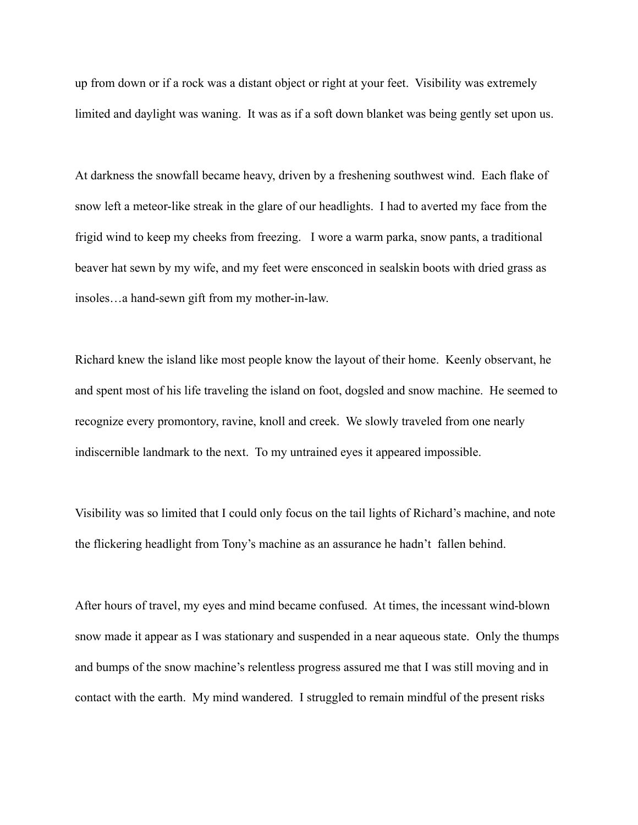up from down or if a rock was a distant object or right at your feet. Visibility was extremely limited and daylight was waning. It was as if a soft down blanket was being gently set upon us.

At darkness the snowfall became heavy, driven by a freshening southwest wind. Each flake of snow left a meteor-like streak in the glare of our headlights. I had to averted my face from the frigid wind to keep my cheeks from freezing. I wore a warm parka, snow pants, a traditional beaver hat sewn by my wife, and my feet were ensconced in sealskin boots with dried grass as insoles…a hand-sewn gift from my mother-in-law.

Richard knew the island like most people know the layout of their home. Keenly observant, he and spent most of his life traveling the island on foot, dogsled and snow machine. He seemed to recognize every promontory, ravine, knoll and creek. We slowly traveled from one nearly indiscernible landmark to the next. To my untrained eyes it appeared impossible.

Visibility was so limited that I could only focus on the tail lights of Richard's machine, and note the flickering headlight from Tony's machine as an assurance he hadn't fallen behind.

After hours of travel, my eyes and mind became confused. At times, the incessant wind-blown snow made it appear as I was stationary and suspended in a near aqueous state. Only the thumps and bumps of the snow machine's relentless progress assured me that I was still moving and in contact with the earth. My mind wandered. I struggled to remain mindful of the present risks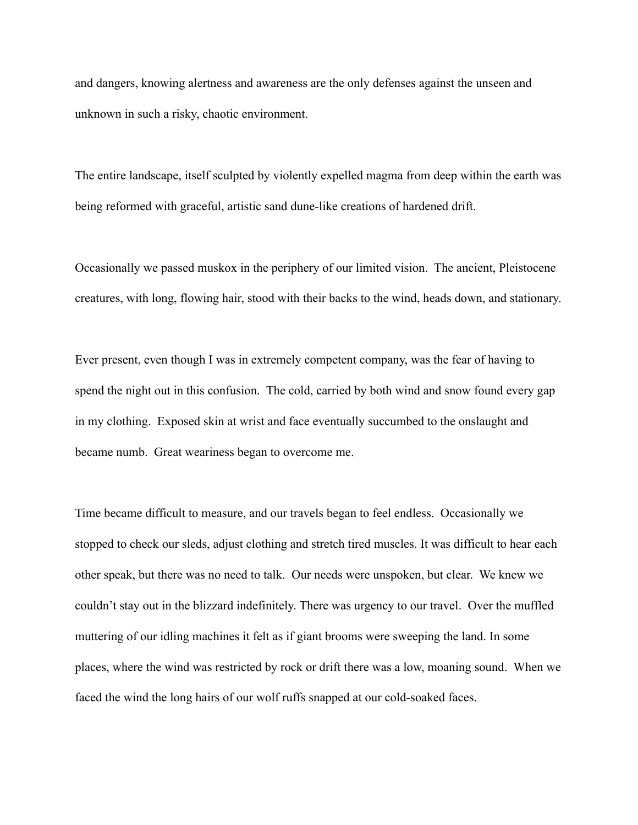and dangers, knowing alertness and awareness are the only defenses against the unseen and unknown in such a risky, chaotic environment.

The entire landscape, itself sculpted by violently expelled magma from deep within the earth was being reformed with graceful, artistic sand dune-like creations of hardened drift.

Occasionally we passed muskox in the periphery of our limited vision. The ancient, Pleistocene creatures, with long, flowing hair, stood with their backs to the wind, heads down, and stationary.

Ever present, even though I was in extremely competent company, was the fear of having to spend the night out in this confusion. The cold, carried by both wind and snow found every gap in my clothing. Exposed skin at wrist and face eventually succumbed to the onslaught and became numb. Great weariness began to overcome me.

Time became difficult to measure, and our travels began to feel endless. Occasionally we stopped to check our sleds, adjust clothing and stretch tired muscles. It was difficult to hear each other speak, but there was no need to talk. Our needs were unspoken, but clear. We knew we couldn't stay out in the blizzard indefinitely. There was urgency to our travel. Over the muffled muttering of our idling machines it felt as if giant brooms were sweeping the land. In some places, where the wind was restricted by rock or drift there was a low, moaning sound. When we faced the wind the long hairs of our wolf ruffs snapped at our cold-soaked faces.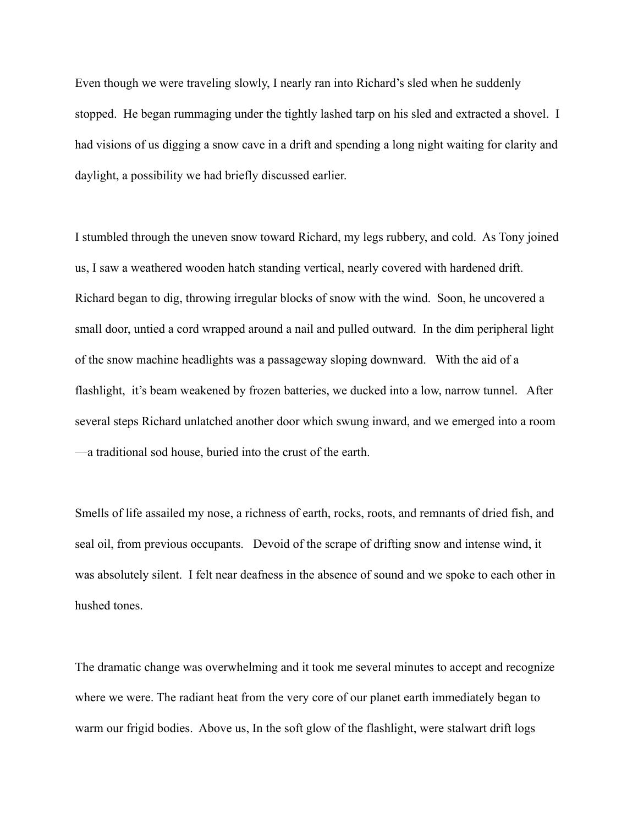Even though we were traveling slowly, I nearly ran into Richard's sled when he suddenly stopped. He began rummaging under the tightly lashed tarp on his sled and extracted a shovel. I had visions of us digging a snow cave in a drift and spending a long night waiting for clarity and daylight, a possibility we had briefly discussed earlier.

I stumbled through the uneven snow toward Richard, my legs rubbery, and cold. As Tony joined us, I saw a weathered wooden hatch standing vertical, nearly covered with hardened drift. Richard began to dig, throwing irregular blocks of snow with the wind. Soon, he uncovered a small door, untied a cord wrapped around a nail and pulled outward. In the dim peripheral light of the snow machine headlights was a passageway sloping downward. With the aid of a flashlight, it's beam weakened by frozen batteries, we ducked into a low, narrow tunnel. After several steps Richard unlatched another door which swung inward, and we emerged into a room —a traditional sod house, buried into the crust of the earth.

Smells of life assailed my nose, a richness of earth, rocks, roots, and remnants of dried fish, and seal oil, from previous occupants. Devoid of the scrape of drifting snow and intense wind, it was absolutely silent. I felt near deafness in the absence of sound and we spoke to each other in hushed tones.

The dramatic change was overwhelming and it took me several minutes to accept and recognize where we were. The radiant heat from the very core of our planet earth immediately began to warm our frigid bodies. Above us, In the soft glow of the flashlight, were stalwart drift logs